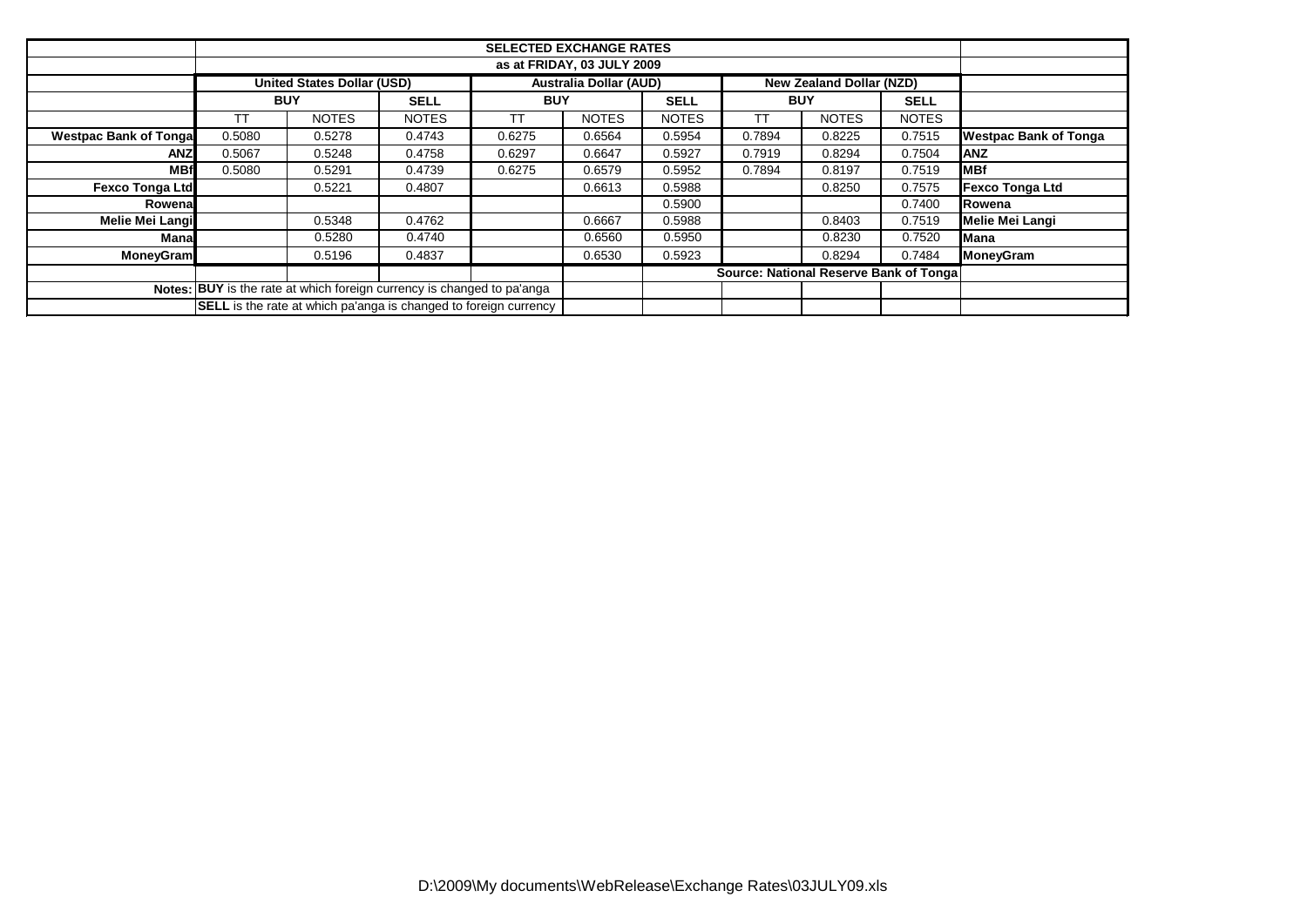|                               |            | <b>United States Dollar (USD)</b>                                       |              |            | <b>Australia Dollar (AUD)</b> |                                         |            | <b>New Zealand Dollar (NZD)</b> |              |                              |  |  |
|-------------------------------|------------|-------------------------------------------------------------------------|--------------|------------|-------------------------------|-----------------------------------------|------------|---------------------------------|--------------|------------------------------|--|--|
|                               | <b>BUY</b> |                                                                         | <b>SELL</b>  | <b>BUY</b> |                               | <b>SELL</b>                             | <b>BUY</b> |                                 | <b>SELL</b>  |                              |  |  |
|                               |            | <b>NOTES</b>                                                            | <b>NOTES</b> | ТT         | <b>NOTES</b>                  | <b>NOTES</b>                            | тт         | <b>NOTES</b>                    | <b>NOTES</b> |                              |  |  |
| <b>Westpac Bank of Tongal</b> | 0.5080     | 0.5278                                                                  | 0.4743       | 0.6275     | 0.6564                        | 0.5954                                  | 0.7894     | 0.8225                          | 0.7515       | <b>Westpac Bank of Tonga</b> |  |  |
| ANZ                           | 0.5067     | 0.5248                                                                  | 0.4758       | 0.6297     | 0.6647                        | 0.5927                                  | 0.7919     | 0.8294                          | 0.7504       | <b>ANZ</b>                   |  |  |
| <b>MBf</b>                    | 0.5080     | 0.5291                                                                  | 0.4739       | 0.6275     | 0.6579                        | 0.5952                                  | 0.7894     | 0.8197                          | 0.7519       | <b>MBf</b>                   |  |  |
| <b>Fexco Tonga Ltd</b>        |            | 0.5221                                                                  | 0.4807       |            | 0.6613                        | 0.5988                                  |            | 0.8250                          | 0.7575       | <b>Fexco Tonga Ltd</b>       |  |  |
| Rowenal                       |            |                                                                         |              |            |                               | 0.5900                                  |            |                                 | 0.7400       | Rowena                       |  |  |
| Melie Mei Langi               |            | 0.5348                                                                  | 0.4762       |            | 0.6667                        | 0.5988                                  |            | 0.8403                          | 0.7519       | Melie Mei Langi              |  |  |
| Manal                         |            | 0.5280                                                                  | 0.4740       |            | 0.6560                        | 0.5950                                  |            | 0.8230                          | 0.7520       | Mana                         |  |  |
| <b>MoneyGram</b>              |            | 0.5196                                                                  | 0.4837       |            | 0.6530                        | 0.5923                                  |            | 0.8294                          | 0.7484       | <b>MoneyGram</b>             |  |  |
|                               |            |                                                                         |              |            |                               | Source: National Reserve Bank of Tongal |            |                                 |              |                              |  |  |
|                               |            | Notes: BUY is the rate at which foreign currency is changed to pa'anga  |              |            |                               |                                         |            |                                 |              |                              |  |  |
|                               |            | <b>SELL</b> is the rate at which pa'anga is changed to foreign currency |              |            |                               |                                         |            |                                 |              |                              |  |  |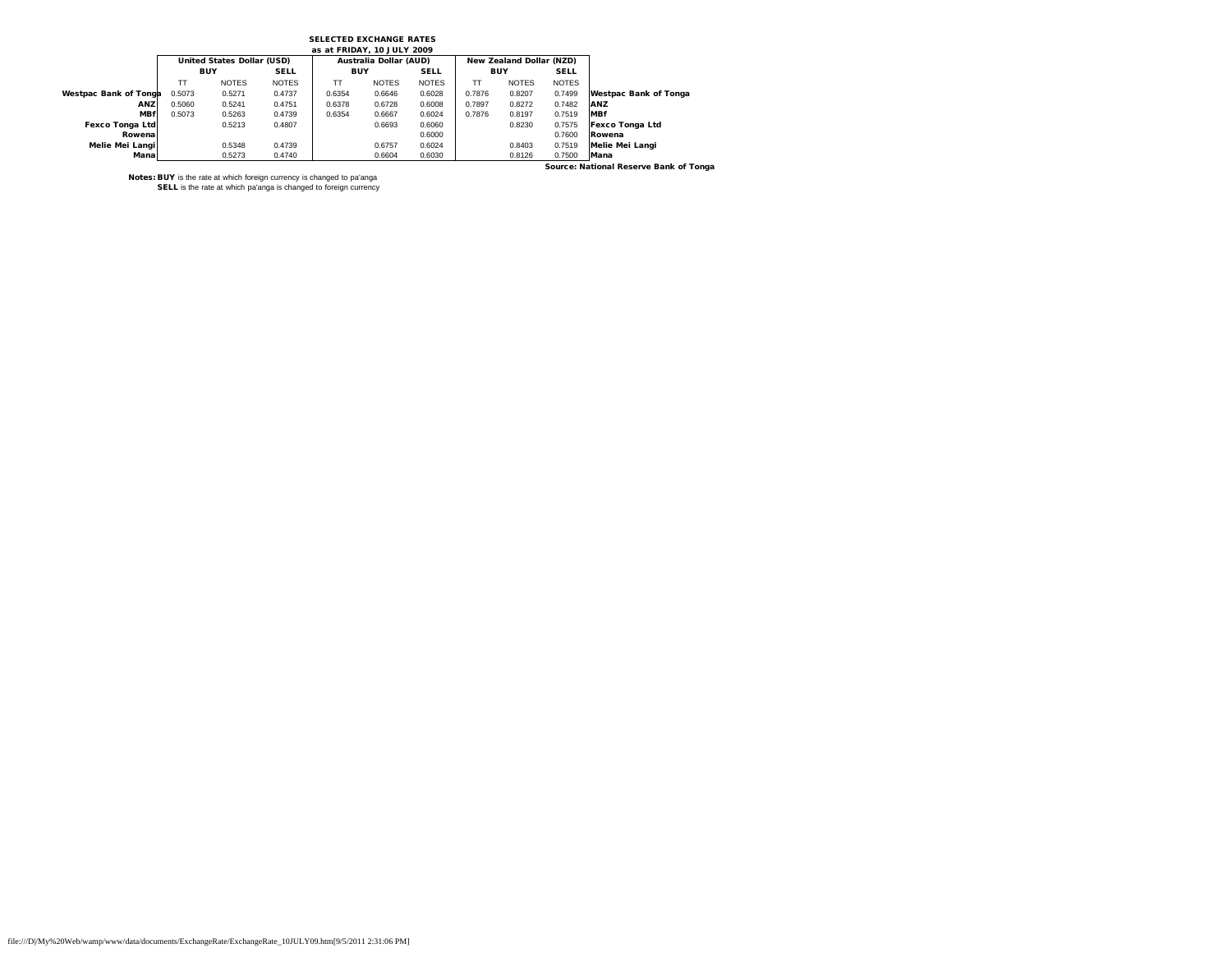## SELECTED EXCHANGE RATES

| as at FRIDAY, 10 JULY 2009   |            |                                   |              |            |                        |              |            |                          |              |                              |  |  |
|------------------------------|------------|-----------------------------------|--------------|------------|------------------------|--------------|------------|--------------------------|--------------|------------------------------|--|--|
|                              |            | <b>United States Dollar (USD)</b> |              |            | Australia Dollar (AUD) |              |            | New Zealand Dollar (NZD) |              |                              |  |  |
|                              | <b>BUY</b> |                                   | <b>SELL</b>  | <b>BUY</b> |                        | <b>SELL</b>  | <b>BUY</b> |                          | <b>SELL</b>  |                              |  |  |
|                              | TT         | <b>NOTES</b>                      | <b>NOTES</b> | TТ         | <b>NOTES</b>           | <b>NOTES</b> | TТ         | <b>NOTES</b>             | <b>NOTES</b> |                              |  |  |
| <b>Westpac Bank of Tonga</b> | 0.5073     | 0.5271                            | 0.4737       | 0.6354     | 0.6646                 | 0.6028       | 0.7876     | 0.8207                   | 0.7499       | <b>Westpac Bank of Tonga</b> |  |  |
| ANZ                          | 0.5060     | 0.5241                            | 0.4751       | 0.6378     | 0.6728                 | 0.6008       | 0.7897     | 0.8272                   | 0.7482       | ANZ                          |  |  |
| <b>MBf</b>                   | 0.5073     | 0.5263                            | 0.4739       | 0.6354     | 0.6667                 | 0.6024       | 0.7876     | 0.8197                   | 0.7519       | <b>MBf</b>                   |  |  |
| <b>Fexco Tonga Ltd</b>       |            | 0.5213                            | 0.4807       |            | 0.6693                 | 0.6060       |            | 0.8230                   | 0.7575       | <b>Fexco Tonga Ltd</b>       |  |  |
| Rowena                       |            |                                   |              |            |                        | 0.6000       |            |                          | 0.7600       | Rowena                       |  |  |
| Melie Mei Langil             |            | 0.5348                            | 0.4739       |            | 0.6757                 | 0.6024       |            | 0.8403                   | 0.7519       | Melie Mei Langi              |  |  |
| Manal                        |            | 0.5273                            | 0.4740       |            | 0.6604                 | 0.6030       |            | 0.8126                   | 0.7500       | Mana                         |  |  |

Source: National Reserve Bank of Tonga

Notes: BUY is the rate at which foreign currency is changed to pa'anga SELL is the rate at which pa'anga is changed to foreign currency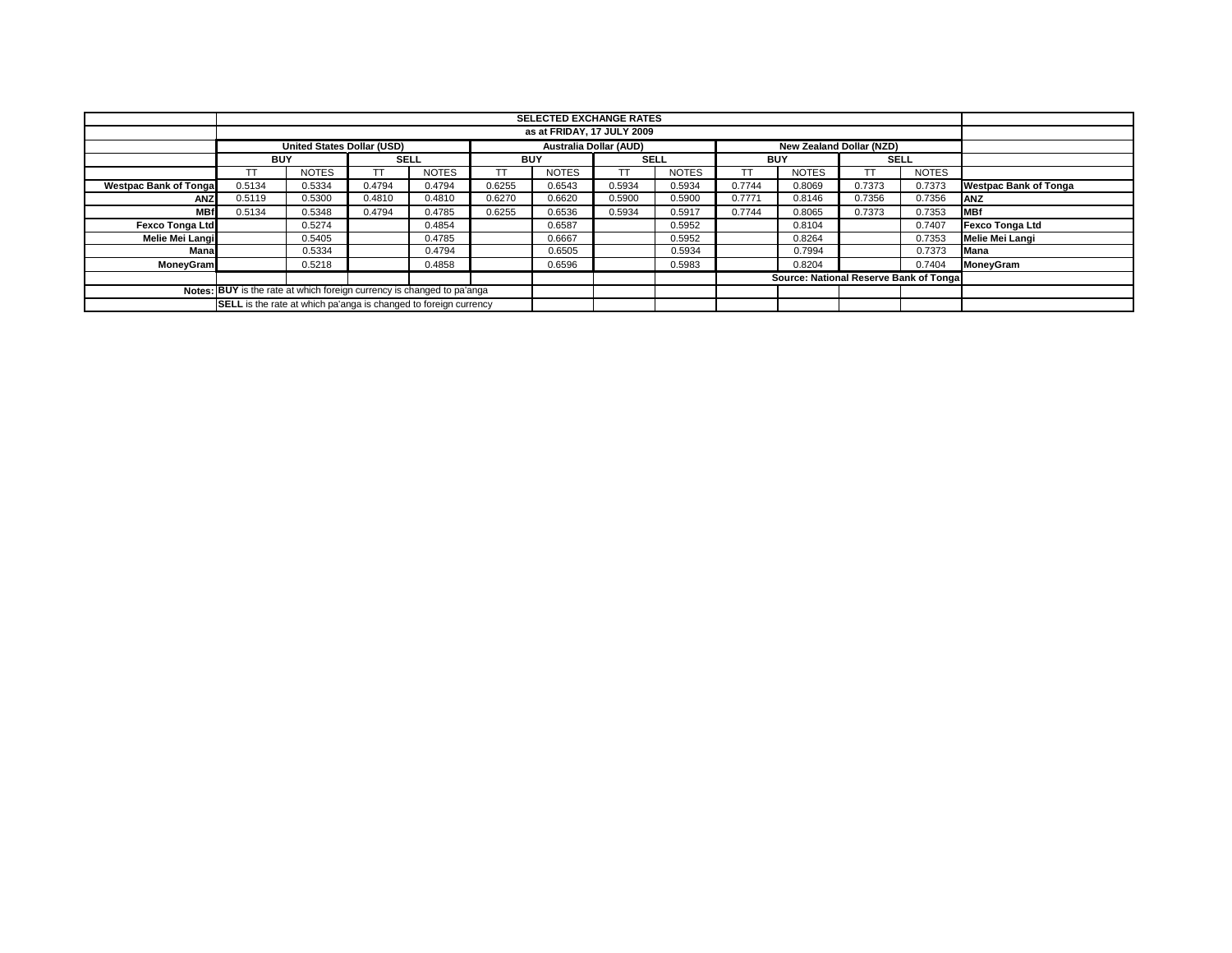|                                                                               | <b>SELECTED EXCHANGE RATES</b>                                                                        |              |             |              |            |              |             |              |            |              |                                        |              |                              |
|-------------------------------------------------------------------------------|-------------------------------------------------------------------------------------------------------|--------------|-------------|--------------|------------|--------------|-------------|--------------|------------|--------------|----------------------------------------|--------------|------------------------------|
|                                                                               | as at FRIDAY, 17 JULY 2009                                                                            |              |             |              |            |              |             |              |            |              |                                        |              |                              |
|                                                                               | <b>United States Dollar (USD)</b><br><b>Australia Dollar (AUD)</b><br><b>New Zealand Dollar (NZD)</b> |              |             |              |            |              |             |              |            |              |                                        |              |                              |
|                                                                               | <b>BUY</b>                                                                                            |              | <b>SELL</b> |              | <b>BUY</b> |              | <b>SELL</b> |              | <b>BUY</b> |              | <b>SELL</b>                            |              |                              |
|                                                                               |                                                                                                       | <b>NOTES</b> | тт          | <b>NOTES</b> |            | <b>NOTES</b> |             | <b>NOTES</b> |            | <b>NOTES</b> |                                        | <b>NOTES</b> |                              |
| <b>Westpac Bank of Tongal</b>                                                 | 0.5134                                                                                                | 0.5334       | 0.4794      | 0.4794       | 0.6255     | 0.6543       | 0.5934      | 0.5934       | 0.7744     | 0.8069       | 0.7373                                 | 0.7373       | <b>Westpac Bank of Tonga</b> |
| <b>ANZ</b>                                                                    | 0.5119                                                                                                | 0.5300       | 0.4810      | 0.4810       | 0.6270     | 0.6620       | 0.5900      | 0.5900       | 0.7771     | 0.8146       | 0.7356                                 | 0.7356       | <b>ANZ</b>                   |
| <b>MBf</b>                                                                    | 0.5134                                                                                                | 0.5348       | 0.4794      | 0.4785       | 0.6255     | 0.6536       | 0.5934      | 0.5917       | 0.7744     | 0.8065       | 0.7373                                 | 0.7353       | <b>IMBf</b>                  |
| <b>Fexco Tonga Ltd</b>                                                        |                                                                                                       | 0.5274       |             | 0.4854       |            | 0.6587       |             | 0.5952       |            | 0.8104       |                                        | 0.7407       | <b>Fexco Tonga Ltd</b>       |
| Melie Mei Langi                                                               |                                                                                                       | 0.5405       |             | 0.4785       |            | 0.6667       |             | 0.5952       |            | 0.8264       |                                        | 0.7353       | <b>Melie Mei Langi</b>       |
| Mana                                                                          |                                                                                                       | 0.5334       |             | 0.4794       |            | 0.6505       |             | 0.5934       |            | 0.7994       |                                        | 0.7373       | Mana                         |
| <b>MoneyGram</b>                                                              |                                                                                                       | 0.5218       |             | 0.4858       |            | 0.6596       |             | 0.5983       |            | 0.8204       |                                        | 0.7404       | <b>MoneyGram</b>             |
|                                                                               |                                                                                                       |              |             |              |            |              |             |              |            |              | Source: National Reserve Bank of Tonga |              |                              |
| <b>Notes: BUY</b> is the rate at which foreign currency is changed to pa'anga |                                                                                                       |              |             |              |            |              |             |              |            |              |                                        |              |                              |
|                                                                               | <b>SELL</b> is the rate at which pa'anga is changed to foreign currency                               |              |             |              |            |              |             |              |            |              |                                        |              |                              |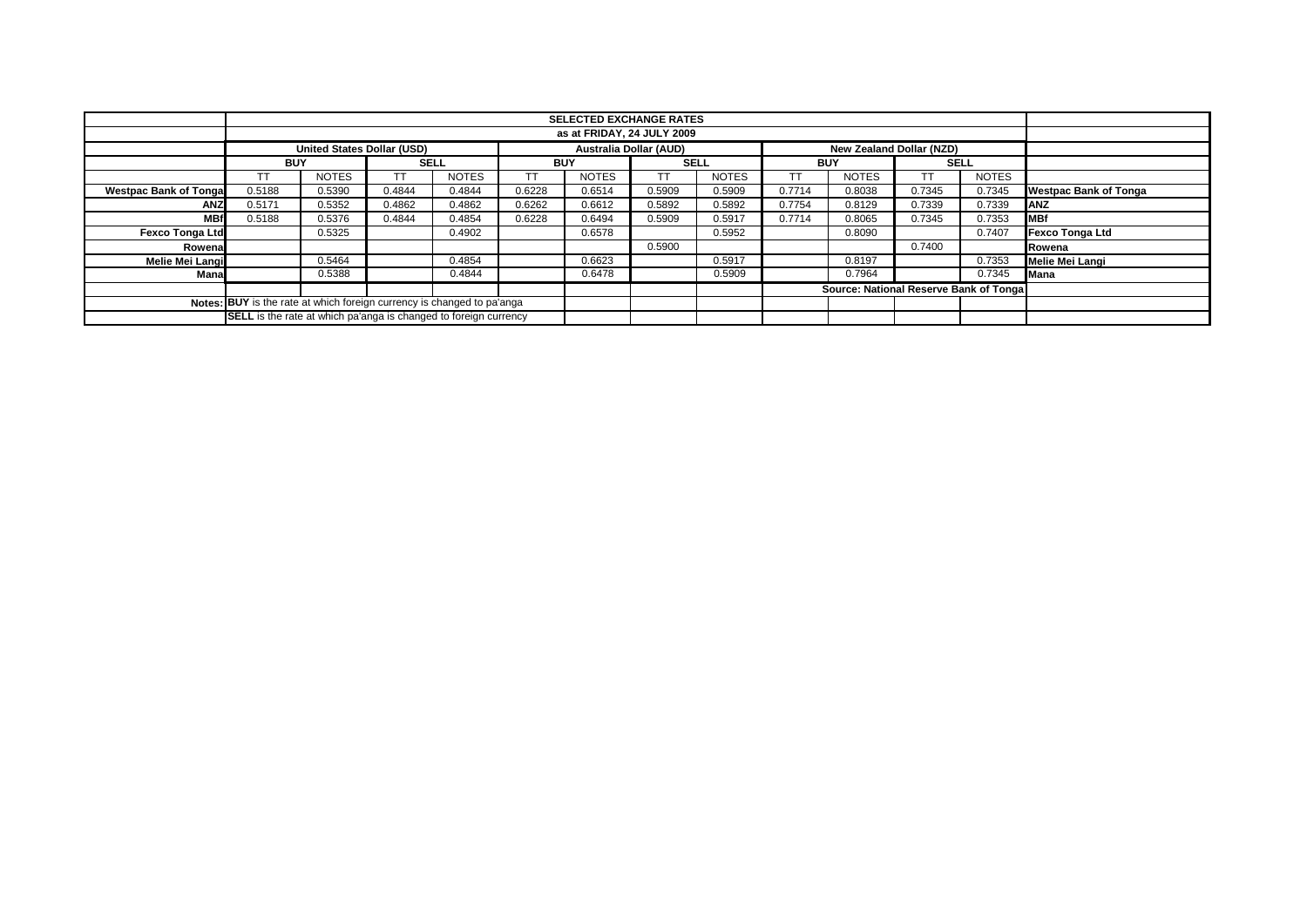|                                                                        | <b>SELECTED EXCHANGE RATES</b>                                                                 |              |             |              |            |                                        |             |              |            |              |             |              |                              |
|------------------------------------------------------------------------|------------------------------------------------------------------------------------------------|--------------|-------------|--------------|------------|----------------------------------------|-------------|--------------|------------|--------------|-------------|--------------|------------------------------|
|                                                                        |                                                                                                |              |             |              |            |                                        |             |              |            |              |             |              |                              |
|                                                                        | as at FRIDAY, 24 JULY 2009                                                                     |              |             |              |            |                                        |             |              |            |              |             |              |                              |
|                                                                        | <b>United States Dollar (USD)</b><br><b>Australia Dollar (AUD)</b><br>New Zealand Dollar (NZD) |              |             |              |            |                                        |             |              |            |              |             |              |                              |
|                                                                        | <b>BUY</b>                                                                                     |              | <b>SELL</b> |              | <b>BUY</b> |                                        | <b>SELL</b> |              | <b>BUY</b> |              | <b>SELL</b> |              |                              |
|                                                                        | ТT                                                                                             | <b>NOTES</b> |             | <b>NOTES</b> |            | <b>NOTES</b>                           | тт          | <b>NOTES</b> | тт         | <b>NOTES</b> | ТT          | <b>NOTES</b> |                              |
| <b>Westpac Bank of Tonga</b>                                           | 0.5188                                                                                         | 0.5390       | 0.4844      | 0.4844       | 0.6228     | 0.6514                                 | 0.5909      | 0.5909       | 0.7714     | 0.8038       | 0.7345      | 0.7345       | <b>Westpac Bank of Tonga</b> |
| <b>ANZ</b>                                                             | 0.5171                                                                                         | 0.5352       | 0.4862      | 0.4862       | 0.6262     | 0.6612                                 | 0.5892      | 0.5892       | 0.7754     | 0.8129       | 0.7339      | 0.7339       | ANZ                          |
| <b>MBf</b>                                                             | 0.5188                                                                                         | 0.5376       | 0.4844      | 0.4854       | 0.6228     | 0.6494                                 | 0.5909      | 0.5917       | 0.7714     | 0.8065       | 0.7345      | 0.7353       | <b>MBf</b>                   |
| <b>Fexco Tonga Ltd</b>                                                 |                                                                                                | 0.5325       |             | 0.4902       |            | 0.6578                                 |             | 0.5952       |            | 0.8090       |             | 0.7407       | <b>Fexco Tonga Ltd</b>       |
| Rowena                                                                 |                                                                                                |              |             |              |            |                                        | 0.5900      |              |            |              | 0.7400      |              | Rowena                       |
| Melie Mei Langi                                                        |                                                                                                | 0.5464       |             | 0.4854       |            | 0.6623                                 |             | 0.5917       |            | 0.8197       |             | 0.7353       | <b>Melie Mei Langi</b>       |
| Mana                                                                   |                                                                                                | 0.5388       |             | 0.4844       |            | 0.6478                                 |             | 0.5909       |            | 0.7964       |             | 0.7345       | Mana                         |
|                                                                        |                                                                                                |              |             |              |            | Source: National Reserve Bank of Tonga |             |              |            |              |             |              |                              |
| Notes: BUY is the rate at which foreign currency is changed to pa'anga |                                                                                                |              |             |              |            |                                        |             |              |            |              |             |              |                              |
|                                                                        | <b>SELL</b> is the rate at which pa'anga is changed to foreign currency                        |              |             |              |            |                                        |             |              |            |              |             |              |                              |